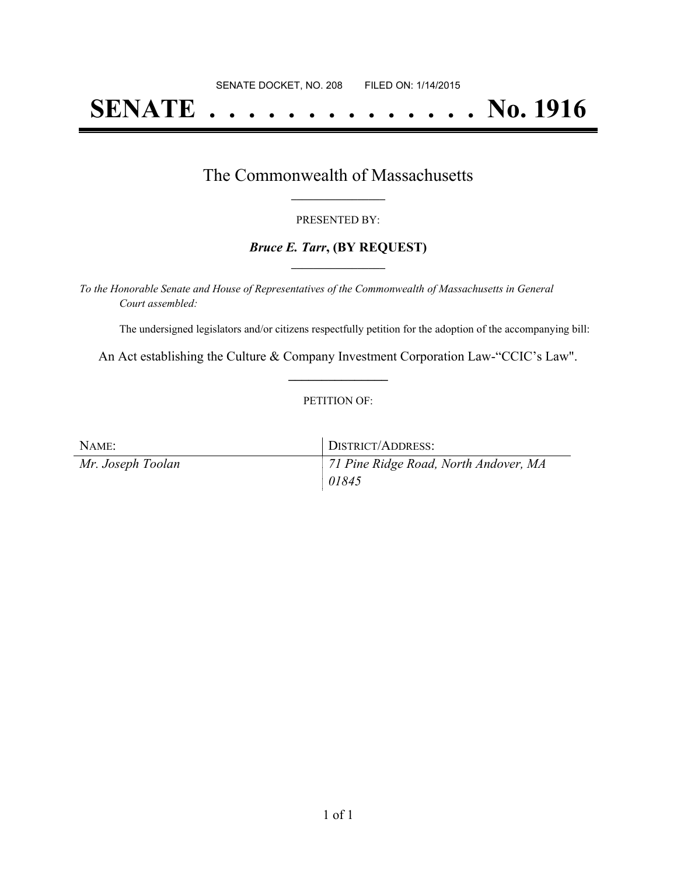# **SENATE . . . . . . . . . . . . . . No. 1916**

### The Commonwealth of Massachusetts **\_\_\_\_\_\_\_\_\_\_\_\_\_\_\_\_\_**

#### PRESENTED BY:

#### *Bruce E. Tarr***, (BY REQUEST) \_\_\_\_\_\_\_\_\_\_\_\_\_\_\_\_\_**

*To the Honorable Senate and House of Representatives of the Commonwealth of Massachusetts in General Court assembled:*

The undersigned legislators and/or citizens respectfully petition for the adoption of the accompanying bill:

An Act establishing the Culture & Company Investment Corporation Law-"CCIC's Law". **\_\_\_\_\_\_\_\_\_\_\_\_\_\_\_**

#### PETITION OF:

| NAME:             | DISTRICT/ADDRESS:                     |
|-------------------|---------------------------------------|
| Mr. Joseph Toolan | 71 Pine Ridge Road, North Andover, MA |
|                   | 01845                                 |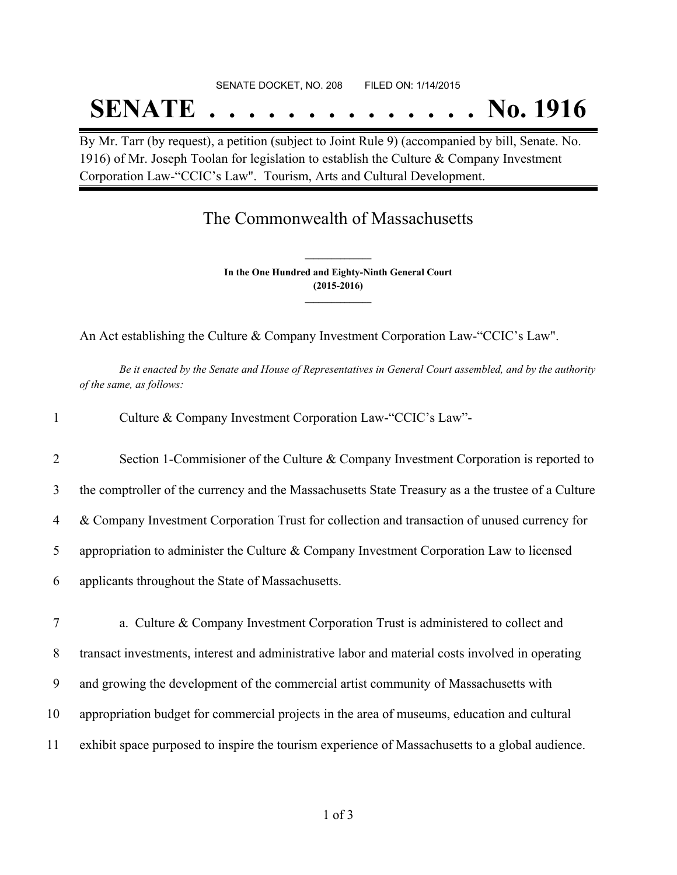# SENATE DOCKET, NO. 208 FILED ON: 1/14/2015 **SENATE . . . . . . . . . . . . . . No. 1916**

By Mr. Tarr (by request), a petition (subject to Joint Rule 9) (accompanied by bill, Senate. No. 1916) of Mr. Joseph Toolan for legislation to establish the Culture & Company Investment Corporation Law-"CCIC's Law". Tourism, Arts and Cultural Development.

## The Commonwealth of Massachusetts

**In the One Hundred and Eighty-Ninth General Court (2015-2016) \_\_\_\_\_\_\_\_\_\_\_\_\_\_\_**

**\_\_\_\_\_\_\_\_\_\_\_\_\_\_\_**

An Act establishing the Culture & Company Investment Corporation Law-"CCIC's Law".

Be it enacted by the Senate and House of Representatives in General Court assembled, and by the authority *of the same, as follows:*

| $\mathbf{1}$   | Culture & Company Investment Corporation Law-"CCIC's Law"-                                         |
|----------------|----------------------------------------------------------------------------------------------------|
| $\overline{2}$ | Section 1-Commisioner of the Culture & Company Investment Corporation is reported to               |
| 3              | the comptroller of the currency and the Massachusetts State Treasury as a the trustee of a Culture |
| 4              | & Company Investment Corporation Trust for collection and transaction of unused currency for       |
| 5              | appropriation to administer the Culture & Company Investment Corporation Law to licensed           |
| 6              | applicants throughout the State of Massachusetts.                                                  |
| $\tau$         | a. Culture & Company Investment Corporation Trust is administered to collect and                   |
| 8              | transact investments, interest and administrative labor and material costs involved in operating   |
| 9              | and growing the development of the commercial artist community of Massachusetts with               |
| 10             | appropriation budget for commercial projects in the area of museums, education and cultural        |
| 11             | exhibit space purposed to inspire the tourism experience of Massachusetts to a global audience.    |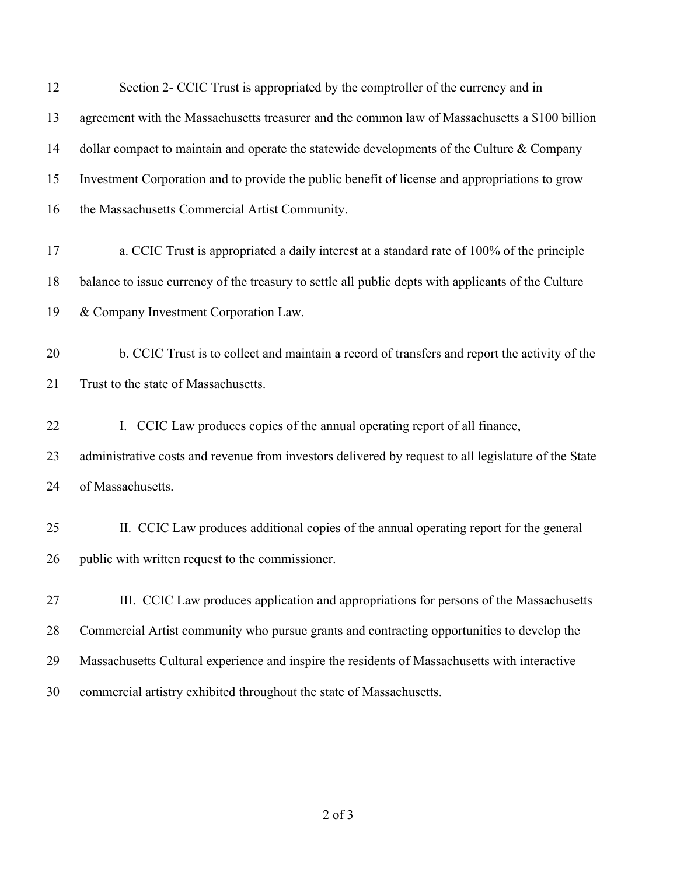12 Section 2- CCIC Trust is appropriated by the comptroller of the currency and in agreement with the Massachusetts treasurer and the common law of Massachusetts a \$100 billion 14 dollar compact to maintain and operate the statewide developments of the Culture & Company Investment Corporation and to provide the public benefit of license and appropriations to grow the Massachusetts Commercial Artist Community. a. CCIC Trust is appropriated a daily interest at a standard rate of 100% of the principle balance to issue currency of the treasury to settle all public depts with applicants of the Culture & Company Investment Corporation Law. b. CCIC Trust is to collect and maintain a record of transfers and report the activity of the 21 Trust to the state of Massachusetts. I. CCIC Law produces copies of the annual operating report of all finance, administrative costs and revenue from investors delivered by request to all legislature of the State of Massachusetts. II. CCIC Law produces additional copies of the annual operating report for the general public with written request to the commissioner. III. CCIC Law produces application and appropriations for persons of the Massachusetts Commercial Artist community who pursue grants and contracting opportunities to develop the Massachusetts Cultural experience and inspire the residents of Massachusetts with interactive commercial artistry exhibited throughout the state of Massachusetts.

of 3